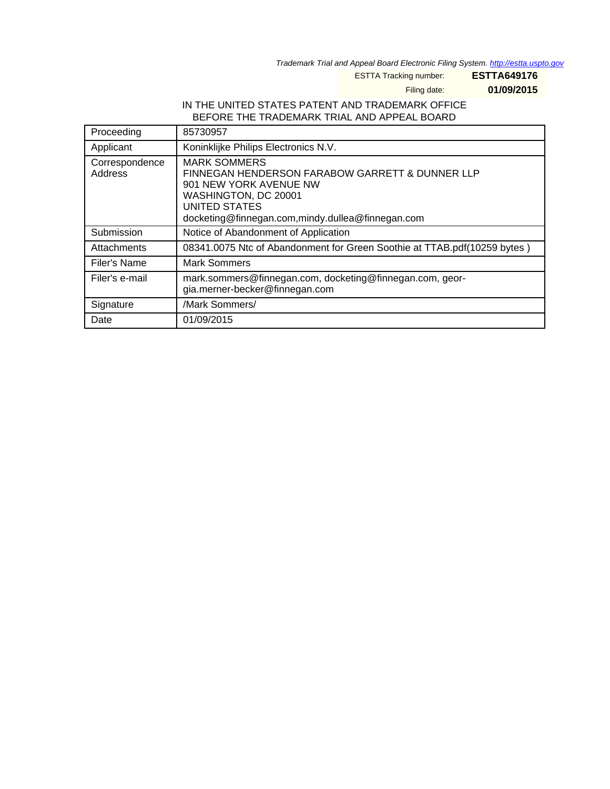Trademark Trial and Appeal Board Electronic Filing System. <http://estta.uspto.gov>

ESTTA Tracking number: **ESTTA649176**

Filing date: **01/09/2015**

## IN THE UNITED STATES PATENT AND TRADEMARK OFFICE BEFORE THE TRADEMARK TRIAL AND APPEAL BOARD

| Proceeding                | 85730957                                                                                                                                                                                                        |
|---------------------------|-----------------------------------------------------------------------------------------------------------------------------------------------------------------------------------------------------------------|
| Applicant                 | Koninklijke Philips Electronics N.V.                                                                                                                                                                            |
| Correspondence<br>Address | <b>MARK SOMMERS</b><br><b>FINNEGAN HENDERSON FARABOW GARRETT &amp; DUNNER LLP</b><br>901 NEW YORK AVENUE NW<br>WASHINGTON, DC 20001<br><b>UNITED STATES</b><br>docketing@finnegan.com,mindy.dullea@finnegan.com |
| Submission                | Notice of Abandonment of Application                                                                                                                                                                            |
| Attachments               | 08341.0075 Ntc of Abandonment for Green Soothie at TTAB.pdf(10259 bytes)                                                                                                                                        |
| Filer's Name              | <b>Mark Sommers</b>                                                                                                                                                                                             |
| Filer's e-mail            | mark.sommers@finnegan.com, docketing@finnegan.com, geor-<br>gia.merner-becker@finnegan.com                                                                                                                      |
| Signature                 | /Mark Sommers/                                                                                                                                                                                                  |
| Date                      | 01/09/2015                                                                                                                                                                                                      |